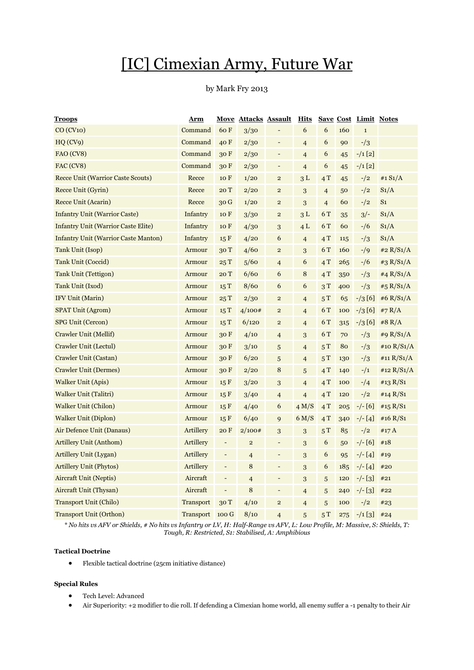# [IC] Cimexian Army, Future War

# by Mark Fry 2013

| <u>Troops</u>                               | Arm              |                          | <u>Move Attacks Assault</u> |                              | <u>Hits</u>    | <b>Save Cost</b>         |     | <b>Limit Notes</b> |                |
|---------------------------------------------|------------------|--------------------------|-----------------------------|------------------------------|----------------|--------------------------|-----|--------------------|----------------|
| CO (CV10)                                   | Command          | 60 F                     | 3/30                        | -                            | 6              | 6                        | 160 | $\mathbf 1$        |                |
| HQ(CV9)                                     | Command          | 40 F                     | 2/30                        | -                            | $\overline{4}$ | 6                        | 90  | $-1/3$             |                |
| FAO (CV8)                                   | Command          | 30F                      | 2/30                        | -                            | $\overline{4}$ | 6                        | 45  | $-/1$ [2]          |                |
| FAC (CV8)                                   | Command          | 30 F                     | 2/30                        | -                            | $\overline{4}$ | 6                        | 45  | $-1$ [2]           |                |
| <b>Recce Unit (Warrior Caste Scouts)</b>    | Recce            | 10 F                     | 1/20                        | $\overline{\mathbf{c}}$      | 3L             | 4T                       | 45  | $-1/2$             | #1 $S_1/A$     |
| Recce Unit (Gyrin)                          | Recce            | 20T                      | 2/20                        | $\overline{c}$               | 3              | $\overline{4}$           | 50  | $-$ /2             | $S_1/A$        |
| <b>Recce Unit (Acarin)</b>                  | Recce            | 30 G                     | 1/20                        | $\overline{c}$               | 3              | $\overline{\mathcal{L}}$ | 60  | $-1/2$             | S <sub>1</sub> |
| <b>Infantry Unit (Warrior Caste)</b>        | Infantry         | 10 F                     | 3/30                        | $\overline{\mathbf{c}}$      | 3L             | 6 T                      | 35  | $3/-$              | $S_1/A$        |
| <b>Infantry Unit (Warrior Caste Elite)</b>  | Infantry         | 10 F                     | 4/30                        | 3                            | 4L             | 6 T                      | 60  | $- / 6$            | S1/A           |
| <b>Infantry Unit (Warrior Caste Manton)</b> | Infantry         | 15 F                     | 4/20                        | 6                            | $\overline{4}$ | 4T                       | 115 | $-1/3$             | $S_1/A$        |
| Tank Unit (Isop)                            | Armour           | 30 T                     | 4/60                        | $\overline{\mathbf{c}}$      | 3              | 6 T                      | 160 | $-9$               | #2 $R/S1/A$    |
| <b>Tank Unit (Coccid)</b>                   | Armour           | 25T                      | 5/60                        | $\overline{4}$               | 6              | 4T                       | 265 | $-1/6$             | #3 $R/S1/A$    |
| <b>Tank Unit (Tettigon)</b>                 | Armour           | 20 T                     | 6/60                        | 6                            | 8              | 4T                       | 350 | $-1/3$             | #4 $R/S1/A$    |
| Tank Unit (Ixod)                            | Armour           | 15T                      | 8/60                        | 6                            | 6              | 3T                       | 400 | $-1/3$             | #5 $R/S1/A$    |
| IFV Unit (Marin)                            | Armour           | 25T                      | 2/30                        | $\overline{c}$               | $\overline{4}$ | 5T                       | 65  | $- / 3 [6]$        | #6 $R/S1/A$    |
| <b>SPAT Unit (Agrom)</b>                    | Armour           | 15T                      | 4/100#                      | $\overline{\mathbf{c}}$      | $\overline{4}$ | 6 T                      | 100 | $- / 3 [6]$        | #7 $R/A$       |
| <b>SPG Unit (Cercon)</b>                    | Armour           | 15T                      | 6/120                       | $\overline{2}$               | $\overline{4}$ | 6 T                      | 315 | $- / 3 [6]$        | #8 R/A         |
| Crawler Unit (Mellif)                       | Armour           | 30F                      | 4/10                        | 4                            | 3              | 6 T                      | 70  | $-1/3$             | #9 $R/S1/A$    |
| Crawler Unit (Lectul)                       | Armour           | 30 F                     | 3/10                        | 5                            | $\overline{4}$ | 5T                       | 80  | $-1/3$             | #10 $R/S1/A$   |
| Crawler Unit (Castan)                       | Armour           | 30F                      | 6/20                        | 5                            | $\overline{4}$ | 5T                       | 130 | $-1/3$             | #11 $R/S1/A$   |
| <b>Crawler Unit (Dermes)</b>                | Armour           | 30F                      | 2/20                        | 8                            | 5              | 4T                       | 140 | $-1/1$             | #12 $R/S1/A$   |
| <b>Walker Unit (Apis)</b>                   | Armour           | 15 F                     | 3/20                        | 3                            | $\overline{4}$ | 4T                       | 100 | $-1/4$             | #13 $R/S1$     |
| Walker Unit (Talitri)                       | Armour           | 15 F                     | 3/40                        | 4                            | $\overline{4}$ | 4T                       | 120 | $-$ /2             | #14 R/S1       |
| <b>Walker Unit (Chilon)</b>                 | Armour           | 15 F                     | 4/40                        | 6                            | 4 M/S          | 4T                       | 205 | $-/- [6]$          | #15 $R/S1$     |
| <b>Walker Unit (Diplon)</b>                 | Armour           | 15 F                     | 6/40                        | 9                            | 6 M/S          | 4T                       | 340 | $-/- [4]$          | #16 $R/S1$     |
| Air Defence Unit (Danaus)                   | Artillery        | 20 F                     | 2/100#                      | 3                            | $\sqrt{3}$     | 5T                       | 85  | $-1/2$             | #17 $A$        |
| Artillery Unit (Anthom)                     | Artillery        | $\overline{\phantom{a}}$ | $\overline{c}$              | $\overline{\phantom{0}}$     | $\sqrt{3}$     | 6                        | 50  | $-/- [6]$          | #18            |
| Artillery Unit (Lygan)                      | Artillery        | $\overline{\phantom{a}}$ | $\overline{4}$              | $\qquad \qquad \blacksquare$ | 3              | 6                        | 95  | $-/- [4]$          | #19            |
| <b>Artillery Unit (Phytos)</b>              | Artillery        | $\overline{\phantom{m}}$ | 8                           | -                            | 3              | 6                        | 185 | $-/- [4]$          | #20            |
| Aircraft Unit (Neptis)                      | Aircraft         | $\overline{\phantom{a}}$ | $\overline{4}$              | $\overline{\phantom{m}}$     | $\sqrt{3}$     | 5                        | 120 | $-/-$ [3]          | #21            |
| Aircraft Unit (Thysan)                      | Aircraft         | $\overline{\phantom{a}}$ | 8                           | -                            | $\overline{4}$ | 5                        | 240 | $-/-$ [3]          | #22            |
| <b>Transport Unit (Chilo)</b>               | <b>Transport</b> | 30T                      | 4/10                        | $\overline{a}$               | $\overline{4}$ | 5                        | 100 | $-1/2$             | #23            |
| <b>Transport Unit (Orthon)</b>              | Transport        | 100 G                    | 8/10                        | $\overline{4}$               | 5              | 5T                       | 275 | $-1$ [3]           | #24            |

*\* No hits vs AFV or Shields, # No hits vs Infantry or LV, H: Half-Range vs AFV, L: Low Profile, M: Massive, S: Shields, T: Tough, R: Restricted, S1: Stabilised, A: Amphibious*

# **Tactical Doctrine**

Flexible tactical doctrine (25cm initiative distance)

# **Special Rules**

- Tech Level: Advanced
- Air Superiority: +2 modifier to die roll. If defending a Cimexian home world, all enemy suffer a -1 penalty to their Air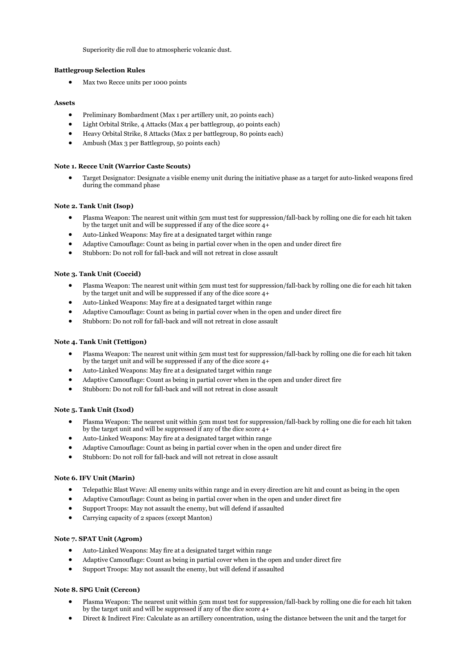Superiority die roll due to atmospheric volcanic dust.

#### **Battlegroup Selection Rules**

Max two Recce units per 1000 points

#### **Assets**

- Preliminary Bombardment (Max 1 per artillery unit, 20 points each)
- Light Orbital Strike, 4 Attacks (Max 4 per battlegroup, 40 points each)
- Heavy Orbital Strike, 8 Attacks (Max 2 per battlegroup, 80 points each)
- Ambush (Max 3 per Battlegroup, 50 points each)

#### **Note 1. Recce Unit (Warrior Caste Scouts)**

 Target Designator: Designate a visible enemy unit during the initiative phase as a target for auto-linked weapons fired during the command phase

### **Note 2. Tank Unit (Isop)**

- Plasma Weapon: The nearest unit within 5cm must test for suppression/fall-back by rolling one die for each hit taken by the target unit and will be suppressed if any of the dice score 4+
- Auto-Linked Weapons: May fire at a designated target within range
- Adaptive Camouflage: Count as being in partial cover when in the open and under direct fire
- Stubborn: Do not roll for fall-back and will not retreat in close assault

#### **Note 3. Tank Unit (Coccid)**

- Plasma Weapon: The nearest unit within 5cm must test for suppression/fall-back by rolling one die for each hit taken by the target unit and will be suppressed if any of the dice score 4+
- Auto-Linked Weapons: May fire at a designated target within range
- Adaptive Camouflage: Count as being in partial cover when in the open and under direct fire
- Stubborn: Do not roll for fall-back and will not retreat in close assault

#### **Note 4. Tank Unit (Tettigon)**

- Plasma Weapon: The nearest unit within 5cm must test for suppression/fall-back by rolling one die for each hit taken by the target unit and will be suppressed if any of the dice score 4+
- Auto-Linked Weapons: May fire at a designated target within range
- Adaptive Camouflage: Count as being in partial cover when in the open and under direct fire
- Stubborn: Do not roll for fall-back and will not retreat in close assault

# **Note 5. Tank Unit (Ixod)**

- Plasma Weapon: The nearest unit within 5cm must test for suppression/fall-back by rolling one die for each hit taken by the target unit and will be suppressed if any of the dice score 4+
- Auto-Linked Weapons: May fire at a designated target within range
- Adaptive Camouflage: Count as being in partial cover when in the open and under direct fire
- Stubborn: Do not roll for fall-back and will not retreat in close assault

# **Note 6. IFV Unit (Marin)**

- Telepathic Blast Wave: All enemy units within range and in every direction are hit and count as being in the open
- Adaptive Camouflage: Count as being in partial cover when in the open and under direct fire
- Support Troops: May not assault the enemy, but will defend if assaulted
- Carrying capacity of 2 spaces (except Manton)

# **Note 7. SPAT Unit (Agrom)**

- Auto-Linked Weapons: May fire at a designated target within range
- Adaptive Camouflage: Count as being in partial cover when in the open and under direct fire
- Support Troops: May not assault the enemy, but will defend if assaulted

# **Note 8. SPG Unit (Cercon)**

- Plasma Weapon: The nearest unit within 5cm must test for suppression/fall-back by rolling one die for each hit taken by the target unit and will be suppressed if any of the dice score 4+
- Direct & Indirect Fire: Calculate as an artillery concentration, using the distance between the unit and the target for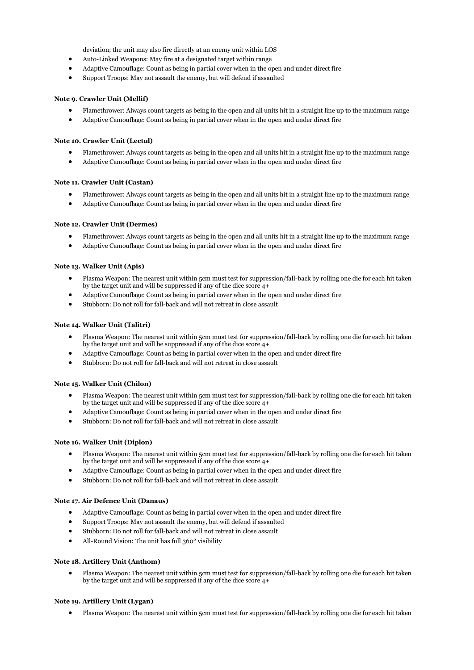deviation; the unit may also fire directly at an enemy unit within LOS

- Auto-Linked Weapons: May fire at a designated target within range
- Adaptive Camouflage: Count as being in partial cover when in the open and under direct fire
- Support Troops: May not assault the enemy, but will defend if assaulted

#### **Note 9. Crawler Unit (Mellif)**

- Flamethrower: Always count targets as being in the open and all units hit in a straight line up to the maximum range
- Adaptive Camouflage: Count as being in partial cover when in the open and under direct fire

#### **Note 10. Crawler Unit (Lectul)**

- Flamethrower: Always count targets as being in the open and all units hit in a straight line up to the maximum range
- Adaptive Camouflage: Count as being in partial cover when in the open and under direct fire

#### **Note 11. Crawler Unit (Castan)**

- Flamethrower: Always count targets as being in the open and all units hit in a straight line up to the maximum range
- Adaptive Camouflage: Count as being in partial cover when in the open and under direct fire

#### **Note 12. Crawler Unit (Dermes)**

- Flamethrower: Always count targets as being in the open and all units hit in a straight line up to the maximum range
- Adaptive Camouflage: Count as being in partial cover when in the open and under direct fire

#### **Note 13. Walker Unit (Apis)**

- Plasma Weapon: The nearest unit within 5cm must test for suppression/fall-back by rolling one die for each hit taken by the target unit and will be suppressed if any of the dice score 4+
- Adaptive Camouflage: Count as being in partial cover when in the open and under direct fire
- Stubborn: Do not roll for fall-back and will not retreat in close assault

#### **Note 14. Walker Unit (Talitri)**

- Plasma Weapon: The nearest unit within 5cm must test for suppression/fall-back by rolling one die for each hit taken by the target unit and will be suppressed if any of the dice score 4+
- Adaptive Camouflage: Count as being in partial cover when in the open and under direct fire
- Stubborn: Do not roll for fall-back and will not retreat in close assault

# **Note 15. Walker Unit (Chilon)**

- Plasma Weapon: The nearest unit within 5cm must test for suppression/fall-back by rolling one die for each hit taken by the target unit and will be suppressed if any of the dice score 4+
- Adaptive Camouflage: Count as being in partial cover when in the open and under direct fire
- Stubborn: Do not roll for fall-back and will not retreat in close assault

# **Note 16. Walker Unit (Diplon)**

- Plasma Weapon: The nearest unit within 5cm must test for suppression/fall-back by rolling one die for each hit taken by the target unit and will be suppressed if any of the dice score 4+
- Adaptive Camouflage: Count as being in partial cover when in the open and under direct fire
- Stubborn: Do not roll for fall-back and will not retreat in close assault

#### **Note 17. Air Defence Unit (Danaus)**

- Adaptive Camouflage: Count as being in partial cover when in the open and under direct fire
- Support Troops: May not assault the enemy, but will defend if assaulted
- Stubborn: Do not roll for fall-back and will not retreat in close assault
- All-Round Vision: The unit has full 360° visibility

#### **Note 18. Artillery Unit (Anthom)**

 Plasma Weapon: The nearest unit within 5cm must test for suppression/fall-back by rolling one die for each hit taken by the target unit and will be suppressed if any of the dice score 4+

#### **Note 19. Artillery Unit (Lygan)**

Plasma Weapon: The nearest unit within 5cm must test for suppression/fall-back by rolling one die for each hit taken